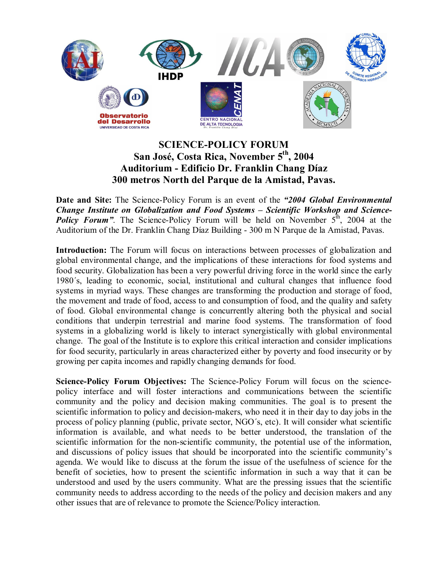

## **SCIENCE-POLICY FORUM San José, Costa Rica, November 5th, 2004 Auditorium - Edificio Dr. Franklin Chang Díaz 300 metros North del Parque de la Amistad, Pavas.**

**Date and Site:** The Science-Policy Forum is an event of the *"2004 Global Environmental Change Institute on Globalization and Food Systems – Scientific Workshop and Science-***Policy Forum"**. The Science-Policy Forum will be held on November  $5^{\text{th}}$ , 2004 at the Auditorium of the Dr. Franklin Chang Díaz Building - 300 m N Parque de la Amistad, Pavas.

Introduction: The Forum will focus on interactions between processes of globalization and global environmental change, and the implications of these interactions for food systems and food security. Globalization has been a very powerful driving force in the world since the early 1980´s, leading to economic, social, institutional and cultural changes that influence food systems in myriad ways. These changes are transforming the production and storage of food, the movement and trade of food, access to and consumption of food, and the quality and safety of food. Global environmental change is concurrently altering both the physical and social conditions that underpin terrestrial and marine food systems. The transformation of food systems in a globalizing world is likely to interact synergistically with global environmental change. The goal of the Institute is to explore this critical interaction and consider implications for food security, particularly in areas characterized either by poverty and food insecurity or by growing per capita incomes and rapidly changing demands for food.

**Science-Policy Forum Objectives:** The Science-Policy Forum will focus on the sciencepolicy interface and will foster interactions and communications between the scientific community and the policy and decision making communities. The goal is to present the scientific information to policy and decision-makers, who need it in their day to day jobs in the process of policy planning (public, private sector, NGO´s, etc). It will consider what scientific information is available, and what needs to be better understood, the translation of the scientific information for the non-scientific community, the potential use of the information, and discussions of policy issues that should be incorporated into the scientific community's agenda. We would like to discuss at the forum the issue of the usefulness of science for the benefit of societies, how to present the scientific information in such a way that it can be understood and used by the users community. What are the pressing issues that the scientific community needs to address according to the needs of the policy and decision makers and any other issues that are of relevance to promote the Science/Policy interaction.